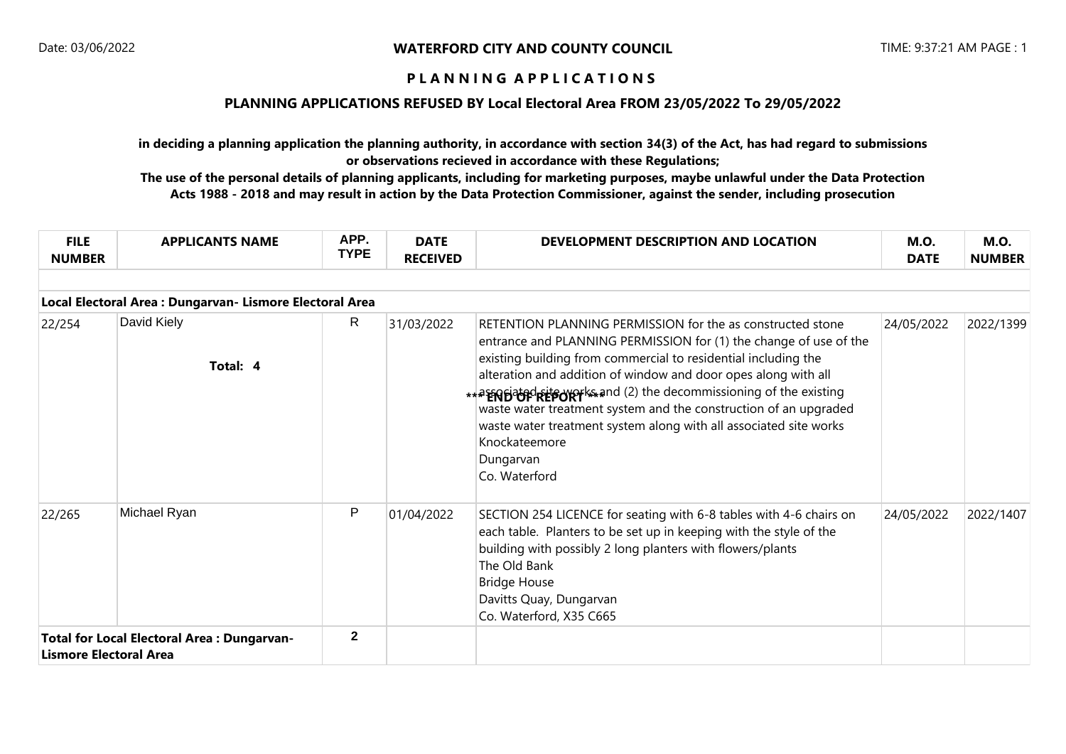### **PLANNING APPLICATIONS REFUSED BY Local Electoral Area FROM 23/05/2022 To 29/05/2022**

**in deciding a planning application the planning authority, in accordance with section 34(3) of the Act, has had regard to submissions or observations recieved in accordance with these Regulations;**

| <b>FILE</b><br><b>NUMBER</b>                                                | <b>APPLICANTS NAME</b>                                   | APP.<br><b>TYPE</b> | <b>DATE</b><br><b>RECEIVED</b> | DEVELOPMENT DESCRIPTION AND LOCATION                                                                                                                                                                                                                                                                                                                                                                                                                                                                                           | <b>M.O.</b><br><b>DATE</b> | <b>M.O.</b><br><b>NUMBER</b> |
|-----------------------------------------------------------------------------|----------------------------------------------------------|---------------------|--------------------------------|--------------------------------------------------------------------------------------------------------------------------------------------------------------------------------------------------------------------------------------------------------------------------------------------------------------------------------------------------------------------------------------------------------------------------------------------------------------------------------------------------------------------------------|----------------------------|------------------------------|
|                                                                             | Local Electoral Area : Dungarvan- Lismore Electoral Area |                     |                                |                                                                                                                                                                                                                                                                                                                                                                                                                                                                                                                                |                            |                              |
| 22/254                                                                      | David Kiely<br>Total: 4                                  | $\mathsf{R}$        | 31/03/2022                     | RETENTION PLANNING PERMISSION for the as constructed stone<br>entrance and PLANNING PERMISSION for (1) the change of use of the<br>existing building from commercial to residential including the<br>alteration and addition of window and door opes along with all<br>** PERBIZED REPORT SAID (2) the decommissioning of the existing<br>waste water treatment system and the construction of an upgraded<br>waste water treatment system along with all associated site works<br>Knockateemore<br>Dungarvan<br>Co. Waterford | 24/05/2022                 | 2022/1399                    |
| 22/265                                                                      | Michael Ryan                                             | P                   | 01/04/2022                     | SECTION 254 LICENCE for seating with 6-8 tables with 4-6 chairs on<br>each table. Planters to be set up in keeping with the style of the<br>building with possibly 2 long planters with flowers/plants<br>The Old Bank<br><b>Bridge House</b><br>Davitts Quay, Dungarvan<br>Co. Waterford, X35 C665                                                                                                                                                                                                                            | 24/05/2022                 | 2022/1407                    |
| <b>Total for Local Electoral Area: Dungarvan-</b><br>Lismore Electoral Area |                                                          | $\mathbf{2}$        |                                |                                                                                                                                                                                                                                                                                                                                                                                                                                                                                                                                |                            |                              |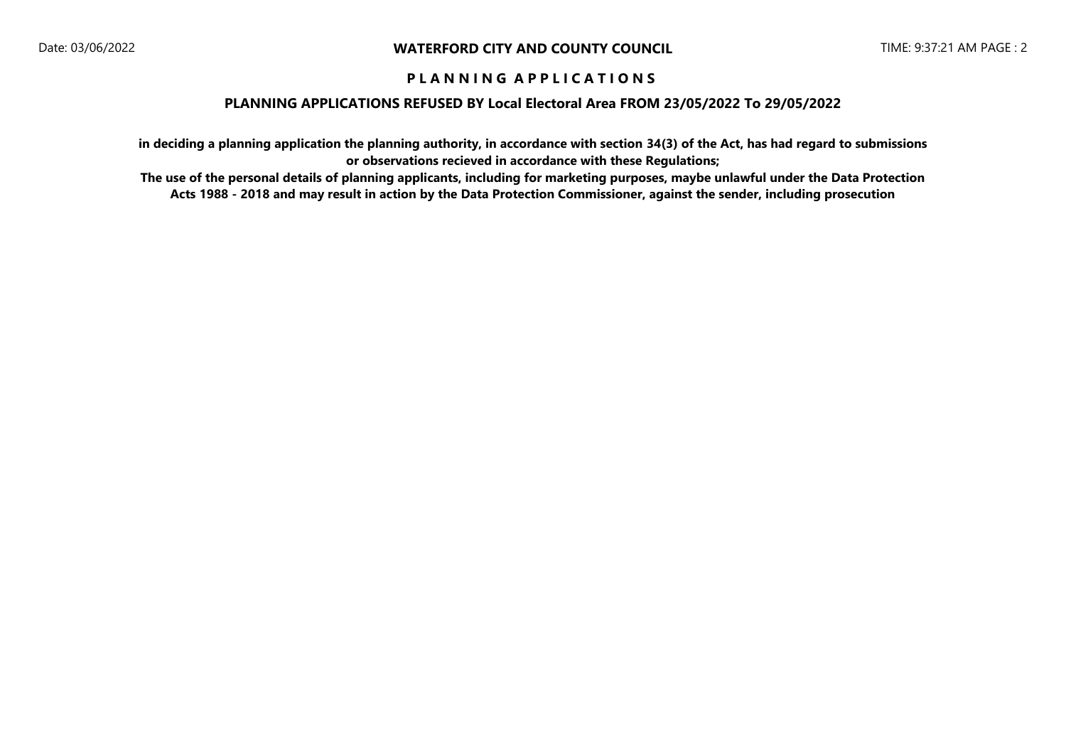### **PLANNING APPLICATIONS REFUSED BY Local Electoral Area FROM 23/05/2022 To 29/05/2022**

**in deciding a planning application the planning authority, in accordance with section 34(3) of the Act, has had regard to submissions or observations recieved in accordance with these Regulations;**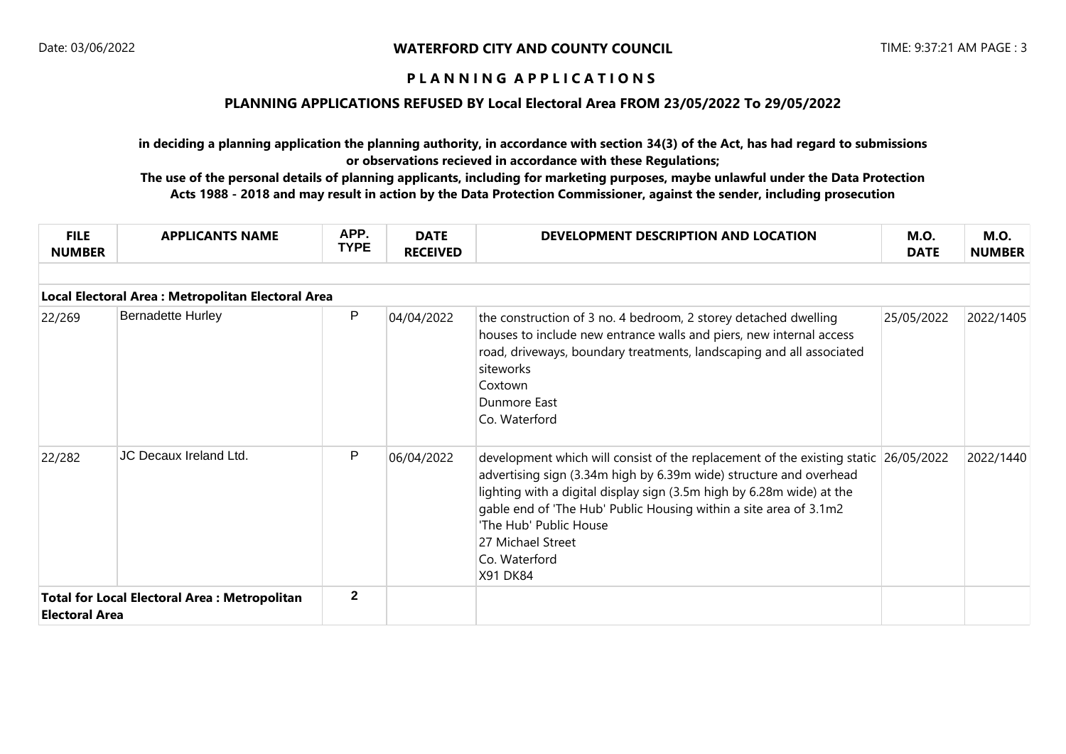### **PLANNING APPLICATIONS REFUSED BY Local Electoral Area FROM 23/05/2022 To 29/05/2022**

**in deciding a planning application the planning authority, in accordance with section 34(3) of the Act, has had regard to submissions or observations recieved in accordance with these Regulations;**

| <b>FILE</b><br><b>NUMBER</b>                                                 | <b>APPLICANTS NAME</b>   | APP.<br><b>TYPE</b> | <b>DATE</b><br><b>RECEIVED</b> | DEVELOPMENT DESCRIPTION AND LOCATION                                                                                                                                                                                                                                                                                                                                                       | <b>M.O.</b><br><b>DATE</b> | <b>M.O.</b><br><b>NUMBER</b> |  |  |  |  |  |
|------------------------------------------------------------------------------|--------------------------|---------------------|--------------------------------|--------------------------------------------------------------------------------------------------------------------------------------------------------------------------------------------------------------------------------------------------------------------------------------------------------------------------------------------------------------------------------------------|----------------------------|------------------------------|--|--|--|--|--|
| Local Electoral Area: Metropolitan Electoral Area                            |                          |                     |                                |                                                                                                                                                                                                                                                                                                                                                                                            |                            |                              |  |  |  |  |  |
| 22/269                                                                       | <b>Bernadette Hurley</b> | P                   | 04/04/2022                     | the construction of 3 no. 4 bedroom, 2 storey detached dwelling<br>houses to include new entrance walls and piers, new internal access<br>road, driveways, boundary treatments, landscaping and all associated<br>siteworks<br>Coxtown<br>Dunmore East<br>Co. Waterford                                                                                                                    | 25/05/2022                 | 2022/1405                    |  |  |  |  |  |
| 22/282                                                                       | JC Decaux Ireland Ltd.   | P                   | 06/04/2022                     | development which will consist of the replacement of the existing static 26/05/2022<br>advertising sign (3.34m high by 6.39m wide) structure and overhead<br>lighting with a digital display sign (3.5m high by 6.28m wide) at the<br>gable end of 'The Hub' Public Housing within a site area of 3.1m2<br>'The Hub' Public House<br>27 Michael Street<br>Co. Waterford<br><b>X91 DK84</b> |                            | 2022/1440                    |  |  |  |  |  |
| <b>Total for Local Electoral Area: Metropolitan</b><br><b>Electoral Area</b> |                          | $\mathbf{2}$        |                                |                                                                                                                                                                                                                                                                                                                                                                                            |                            |                              |  |  |  |  |  |